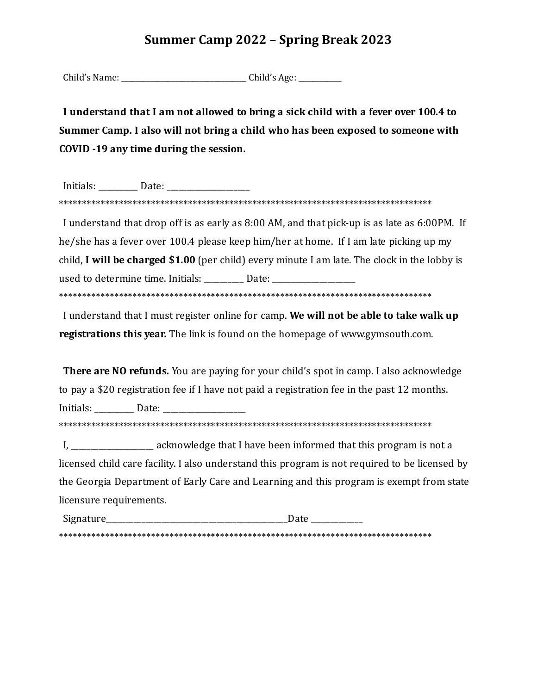# **Summer Camp 2022 - Spring Break 2023**

Child's Name: \_\_\_\_\_\_\_\_\_\_\_\_\_\_\_\_\_\_\_\_\_\_\_\_\_\_\_\_\_\_\_\_\_\_\_ Child's Age: \_\_\_\_\_\_\_\_\_\_\_\_

**I understand that I am not allowed to bring a sick child with a fever over 100.4 to Summer Camp. I also will not bring a child who has been exposed to someone with COVID -19 any time during the session.**

Initials: \_\_\_\_\_\_\_\_\_\_ Date: \_\_\_\_\_\_\_\_\_\_\_\_\_\_\_\_\_\_\_\_\_ \*\*\*\*\*\*\*\*\*\*\*\*\*\*\*\*\*\*\*\*\*\*\*\*\*\*\*\*\*\*\*\*\*\*\*\*\*\*\*\*\*\*\*\*\*\*\*\*\*\*\*\*\*\*\*\*\*\*\*\*\*\*\*\*\*\*\*\*\*\*\*\*\*\*\*\*\*\*\*\*\*

I understand that drop off is as early as 8:00 AM, and that pick-up is as late as 6:00PM. If he/she has a fever over 100.4 please keep him/her at home. If I am late picking up my child, **I will be charged \$1.00** (per child) every minute I am late. The clock in the lobby is used to determine time. Initials: \_\_\_\_\_\_\_\_\_ Date: \_\_\_\_\_\_\_\_\_\_\_\_\_\_\_\_\_\_\_\_\_\_\_\_\_\_\_\_\_\_ \*\*\*\*\*\*\*\*\*\*\*\*\*\*\*\*\*\*\*\*\*\*\*\*\*\*\*\*\*\*\*\*\*\*\*\*\*\*\*\*\*\*\*\*\*\*\*\*\*\*\*\*\*\*\*\*\*\*\*\*\*\*\*\*\*\*\*\*\*\*\*\*\*\*\*\*\*\*\*\*\*

I understand that I must register online for camp. **We will not be able to take walk up registrations this year.** The link is found on the homepage of www.gymsouth.com.

**There are NO refunds.** You are paying for your child's spot in camp. I also acknowledge to pay a \$20 registration fee if I have not paid a registration fee in the past 12 months. Initials: \_\_\_\_\_\_\_\_\_\_ Date: \_\_\_\_\_\_\_\_\_\_\_\_\_\_\_\_\_\_\_\_\_ \*\*\*\*\*\*\*\*\*\*\*\*\*\*\*\*\*\*\*\*\*\*\*\*\*\*\*\*\*\*\*\*\*\*\*\*\*\*\*\*\*\*\*\*\*\*\*\*\*\*\*\*\*\*\*\*\*\*\*\*\*\*\*\*\*\*\*\*\*\*\*\*\*\*\*\*\*\*\*\*\*

I, acknowledge that I have been informed that this program is not a licensed child care facility. I also understand this program is not required to be licensed by the Georgia Department of Early Care and Learning and this program is exempt from state licensure requirements.

Signature\_\_\_\_\_\_\_\_\_\_\_\_\_\_\_\_\_\_\_\_\_\_\_\_\_\_\_\_\_\_\_\_\_\_\_\_\_\_\_\_\_\_\_\_\_\_Date \_\_\_\_\_\_\_\_\_\_\_\_\_ \*\*\*\*\*\*\*\*\*\*\*\*\*\*\*\*\*\*\*\*\*\*\*\*\*\*\*\*\*\*\*\*\*\*\*\*\*\*\*\*\*\*\*\*\*\*\*\*\*\*\*\*\*\*\*\*\*\*\*\*\*\*\*\*\*\*\*\*\*\*\*\*\*\*\*\*\*\*\*\*\*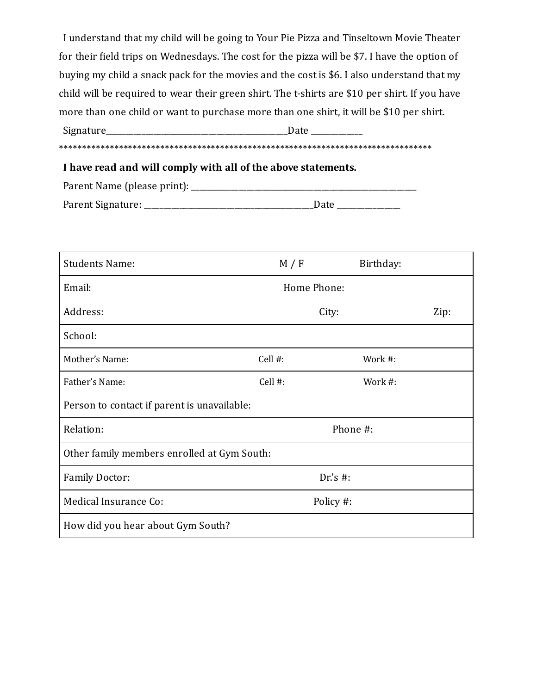I understand that my child will be going to Your Pie Pizza and Tinseltown Movie Theater for their ield trips on Wednesdays. The cost for the pizza will be \$7. I have the option of buying my child a snack pack for the movies and the cost is \$6. I also understand that my child will be required to wear their green shirt. The t-shirts are \$10 per shirt. If you have more than one child or want to purchase more than one shirt, it will be \$10 per shirt. Signature\_\_\_\_\_\_\_\_\_\_\_\_\_\_\_\_\_\_\_\_\_\_\_\_\_\_\_\_\_\_\_\_\_\_\_\_\_\_\_\_\_\_\_\_\_\_Date \_\_\_\_\_\_\_\_\_\_\_\_\_

\*\*\*\*\*\*\*\*\*\*\*\*\*\*\*\*\*\*\*\*\*\*\*\*\*\*\*\*\*\*\*\*\*\*\*\*\*\*\*\*\*\*\*\*\*\*\*\*\*\*\*\*\*\*\*\*\*\*\*\*\*\*\*\*\*\*\*\*\*\*\*\*\*\*\*\*\*\*\*\*\*

#### **I have read and will comply with all of the above statements.**

| Parent Name (please print): |      |
|-----------------------------|------|
| Parent Signature:           | Date |

| <b>Students Name:</b>                       | M / F         | Birthday: |  |
|---------------------------------------------|---------------|-----------|--|
| Email:                                      | Home Phone:   |           |  |
| Address:                                    | Zip:<br>City: |           |  |
| School:                                     |               |           |  |
| Mother's Name:                              | Cell #:       | Work #:   |  |
| Father's Name:                              | Cell #:       | Work #:   |  |
| Person to contact if parent is unavailable: |               |           |  |
| Relation:                                   |               | Phone #:  |  |
| Other family members enrolled at Gym South: |               |           |  |
| <b>Family Doctor:</b>                       | Dr's $#$ :    |           |  |
| Medical Insurance Co:                       | Policy #:     |           |  |
| How did you hear about Gym South?           |               |           |  |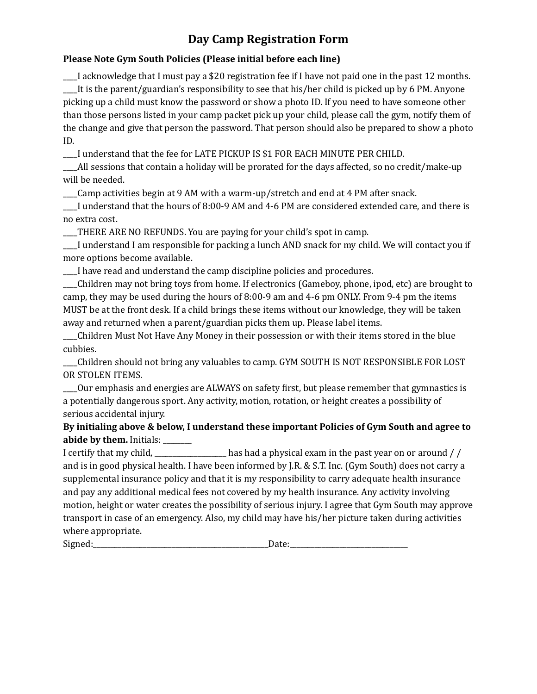## **Day Camp Registration Form**

### **Please Note Gym South Policies (Please initial before each line)**

\_\_\_\_I acknowledge that I must pay a \$20 registration fee if I have not paid one in the past 12 months. \_\_\_\_It is the parent/guardian's responsibility to see that his/her child is picked up by 6 PM. Anyone picking up a child must know the password or show a photo ID. If you need to have someone other than those persons listed in your camp packet pick up your child, please call the gym, notify them of the change and give that person the password. That person should also be prepared to show a photo ID.

\_\_\_\_I understand that the fee for LATE PICKUP IS \$1 FOR EACH MINUTE PER CHILD.

\_\_\_\_All sessions that contain a holiday will be prorated for the days affected, so no credit/make-up will be needed.

\_\_\_\_Camp activities begin at 9 AM with a warm-up/stretch and end at 4 PM after snack.

\_\_\_\_I understand that the hours of 8:00-9 AM and 4-6 PM are considered extended care, and there is no extra cost.

\_\_\_\_THERE ARE NO REFUNDS. You are paying for your child's spot in camp.

\_\_\_\_I understand I am responsible for packing a lunch AND snack for my child. We will contact you if more options become available.

\_\_\_\_I have read and understand the camp discipline policies and procedures.

\_\_\_\_Children may not bring toys from home. If electronics (Gameboy, phone, ipod, etc) are brought to camp, they may be used during the hours of 8:00-9 am and 4-6 pm ONLY. From 9-4 pm the items MUST be at the front desk. If a child brings these items without our knowledge, they will be taken away and returned when a parent/guardian picks them up. Please label items.

\_\_\_\_Children Must Not Have Any Money in their possession or with their items stored in the blue cubbies.

\_\_\_\_Children should not bring any valuables to camp. GYM SOUTH IS NOT RESPONSIBLE FOR LOST OR STOLEN ITEMS.

\_\_\_\_Our emphasis and energies are ALWAYS on safety irst, but please remember that gymnastics is a potentially dangerous sport. Any activity, motion, rotation, or height creates a possibility of serious accidental injury.

**By initialing above & below, I understand these important Policies of Gym South and agree to abide by them.** Initials: \_\_\_\_\_\_\_\_

I certify that my child, \_\_\_\_\_\_\_\_\_\_\_\_\_\_\_\_\_\_\_\_ has had a physical exam in the past year on or around / / and is in good physical health. I have been informed by J.R. & S.T. Inc. (Gym South) does not carry a supplemental insurance policy and that it is my responsibility to carry adequate health insurance and pay any additional medical fees not covered by my health insurance. Any activity involving motion, height or water creates the possibility of serious injury. I agree that Gym South may approve transport in case of an emergency. Also, my child may have his/her picture taken during activities where appropriate.

Signed:\_\_\_\_\_\_\_\_\_\_\_\_\_\_\_\_\_\_\_\_\_\_\_\_\_\_\_\_\_\_\_\_\_\_\_\_\_\_\_\_\_\_\_\_\_\_\_\_\_Date:\_\_\_\_\_\_\_\_\_\_\_\_\_\_\_\_\_\_\_\_\_\_\_\_\_\_\_\_\_\_\_\_\_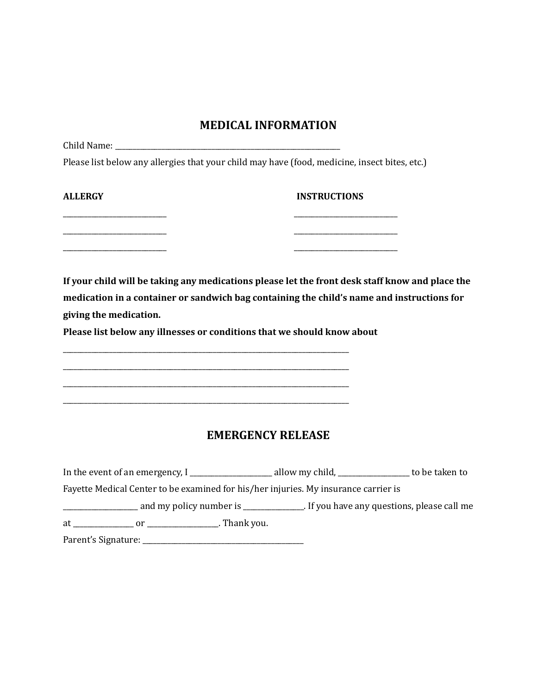### **MEDICAL INFORMATION**

Child Name: \_\_\_\_\_\_\_\_\_\_\_\_\_\_\_\_\_\_\_\_\_\_\_\_\_\_\_\_\_\_\_\_\_\_\_\_\_\_\_\_\_\_\_\_\_\_\_\_\_\_\_\_\_\_\_\_\_\_\_\_\_\_\_

Please list below any allergies that your child may have (food, medicine, insect bites, etc.)

| ALLERGY | <b>INSTRUCTIONS</b> |
|---------|---------------------|
|         |                     |
|         |                     |

**If your child will be taking any medications please let the front desk staff know and place the medication in a container or sandwich bag containing the child's name and instructions for giving the medication.**

**Please list below any illnesses or conditions that we should know about**

\_\_\_\_\_\_\_\_\_\_\_\_\_\_\_\_\_\_\_\_\_\_\_\_\_\_\_\_\_\_\_\_\_\_\_\_\_\_\_\_\_\_\_\_\_\_\_\_\_\_\_\_\_\_\_\_\_\_\_\_\_\_\_\_\_\_\_\_\_\_\_\_\_\_\_\_\_\_\_\_ \_\_\_\_\_\_\_\_\_\_\_\_\_\_\_\_\_\_\_\_\_\_\_\_\_\_\_\_\_\_\_\_\_\_\_\_\_\_\_\_\_\_\_\_\_\_\_\_\_\_\_\_\_\_\_\_\_\_\_\_\_\_\_\_\_\_\_\_\_\_\_\_\_\_\_\_\_\_\_\_ \_\_\_\_\_\_\_\_\_\_\_\_\_\_\_\_\_\_\_\_\_\_\_\_\_\_\_\_\_\_\_\_\_\_\_\_\_\_\_\_\_\_\_\_\_\_\_\_\_\_\_\_\_\_\_\_\_\_\_\_\_\_\_\_\_\_\_\_\_\_\_\_\_\_\_\_\_\_\_\_ \_\_\_\_\_\_\_\_\_\_\_\_\_\_\_\_\_\_\_\_\_\_\_\_\_\_\_\_\_\_\_\_\_\_\_\_\_\_\_\_\_\_\_\_\_\_\_\_\_\_\_\_\_\_\_\_\_\_\_\_\_\_\_\_\_\_\_\_\_\_\_\_\_\_\_\_\_\_\_\_

## **EMERGENCY RELEASE**

|                          | In the event of an emergency, I                                                     | allow my child, ____________________ to be taken to |
|--------------------------|-------------------------------------------------------------------------------------|-----------------------------------------------------|
|                          | Fayette Medical Center to be examined for his/her injuries. My insurance carrier is |                                                     |
|                          | and my policy number is ______________. If you have any questions, please call me   |                                                     |
|                          |                                                                                     |                                                     |
| Parent's Signature: ____ |                                                                                     |                                                     |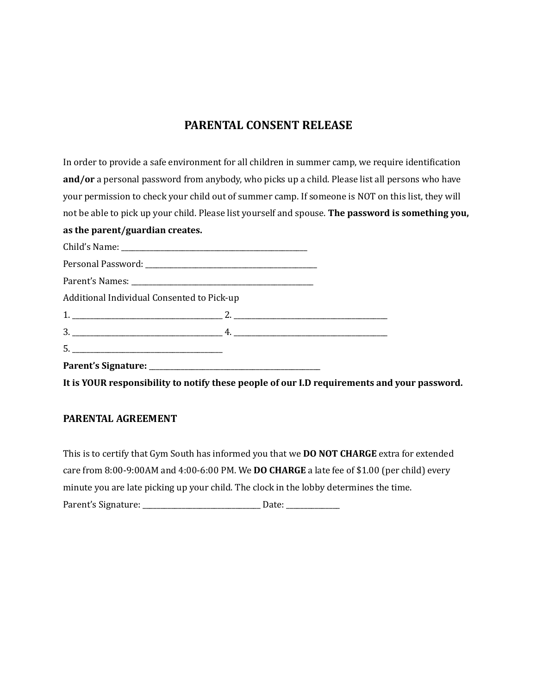## **PARENTAL CONSENT RELEASE**

In order to provide a safe environment for all children in summer camp, we require identification **and/or** a personal password from anybody, who picks up a child. Please list all persons who have your permission to check your child out of summer camp. If someone is NOT on this list, they will not be able to pick up your child. Please list yourself and spouse. **The password is something you,**

### **as the parent/guardian creates.**

| Additional Individual Consented to Pick-up |  |  |
|--------------------------------------------|--|--|
|                                            |  |  |
|                                            |  |  |
|                                            |  |  |
|                                            |  |  |

**It is YOUR responsibility to notify these people of our I.D requirements and your password.**

#### **PARENTAL AGREEMENT**

This is to certify that Gym South has informed you that we **DO NOT CHARGE** extra for extended care from 8:00-9:00AM and 4:00-6:00 PM. We **DO CHARGE** a late fee of \$1.00 (per child) every minute you are late picking up your child. The clock in the lobby determines the time. Parent's Signature: \_\_\_\_\_\_\_\_\_\_\_\_\_\_\_\_\_\_\_\_\_\_\_\_\_\_\_\_\_\_\_\_\_ Date: \_\_\_\_\_\_\_\_\_\_\_\_\_\_\_